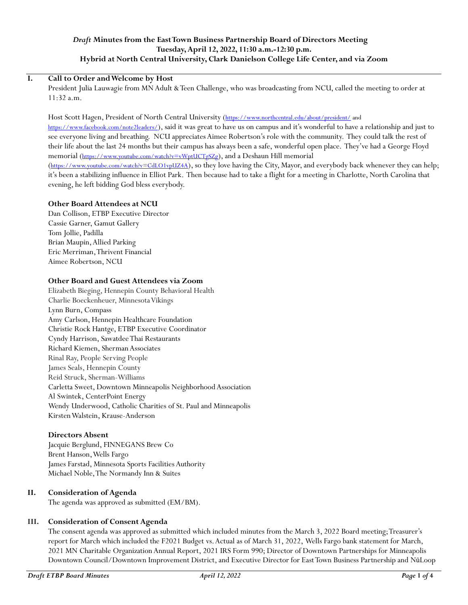## *Draft* **Minutes from the East Town Business Partnership Board of Directors Meeting Tuesday, April 12, 2022, 11:30 a.m.-12:30 p.m. Hybrid at North Central University, Clark Danielson College Life Center, and via Zoom**

#### **I. Call to Order and Welcome by Host**

President Julia Lauwagie from MN Adult & Teen Challenge, who was broadcasting from NCU, called the meeting to order at 11:32 a.m.

Host Scott Hagen, President of North Central University (<https://www.northcentral.edu/about/president/> and <https://www.facebook.com/note2leaders/>), said it was great to have us on campus and it's wonderful to have a relationship and just to see everyone living and breathing. NCU appreciates Aimee Robertson's role with the community. They could talk the rest of their life about the last 24 months but their campus has always been a safe, wonderful open place. They've had a George Floyd memorial (<https://www.youtube.com/watch?v=vWptUCTgSZg>), and a Deshaun Hill memorial (<https://www.youtube.com/watch?v=CdLO1vpUZ4A>), so they love having the City, Mayor, and everybody back whenever they can help; it's been a stabilizing influence in Elliot Park. Then because had to take a flight for a meeting in Charlotte, North Carolina that evening, he left bidding God bless everybody.

# **Other Board Attendees at NCU**

Dan Collison, ETBP Executive Director Cassie Garner, Gamut Gallery Tom Jollie, Padilla Brian Maupin, Allied Parking Eric Merriman, Thrivent Financial Aimee Robertson, NCU

#### **Other Board and Guest Attendees via Zoom**

Elizabeth Bieging, Hennepin County Behavioral Health Charlie Boeckenheuer, Minnesota Vikings Lynn Burn, Compass Amy Carlson, Hennepin Healthcare Foundation Christie Rock Hantge, ETBP Executive Coordinator Cyndy Harrison, Sawatdee Thai Restaurants Richard Kiemen, Sherman Associates Rinal Ray, People Serving People James Seals, Hennepin County Reid Struck, Sherman-Williams Carletta Sweet, Downtown Minneapolis Neighborhood Association Al Swintek, CenterPoint Energy Wendy Underwood, Catholic Charities of St. Paul and Minneapolis Kirsten Walstein, Krause-Anderson

#### **Directors Absent**

Jacquie Berglund, FINNEGANS Brew Co Brent Hanson, Wells Fargo James Farstad, Minnesota Sports Facilities Authority Michael Noble, The Normandy Inn & Suites

#### **II. Consideration of Agenda**

The agenda was approved as submitted (EM/BM).

# **III. Consideration of Consent Agenda**

The consent agenda was approved as submitted which included minutes from the March 3, 2022 Board meeting; Treasurer's report for March which included the F2021 Budget vs. Actual as of March 31, 2022, Wells Fargo bank statement for March, 2021 MN Charitable Organization Annual Report, 2021 IRS Form 990; Director of Downtown Partnerships for Minneapolis Downtown Council/Downtown Improvement District, and Executive Director for East Town Business Partnership and NūLoop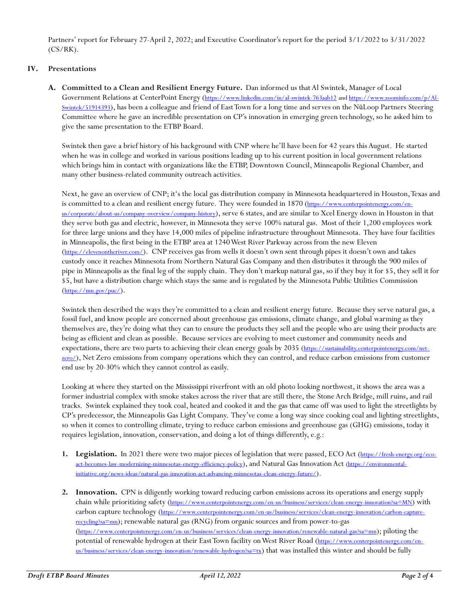Partners' report for February 27-April 2, 2022; and Executive Coordinator's report for the period 3/1/2022 to 3/31/2022  $(CS/RK)$ .

## **IV. Presentations**

**A. Committed to a Clean and Resilient Energy Future.** Dan informed us thatAl Swintek, Manager of Local Government Relations at CenterPoint Energy (<https://www.linkedin.com/in/al-swintek-763aab12> an[d https://www.zoominfo.com/p/Al-](https://www.zoominfo.com/p/Al-Swintek/51914393)[Swintek/51914393](https://www.zoominfo.com/p/Al-Swintek/51914393)), has been a colleague and friend of East Town for a long time and serves on the NūLoop Partners Steering Committee where he gave an incredible presentation on CP's innovation in emerging green technology, so he asked him to give the same presentation to the ETBP Board.

Swintek then gave a brief history of his background with CNP where he'll have been for 42 years this August. He started when he was in college and worked in various positions leading up to his current position in local government relations which brings him in contact with organizations like the ETBP, Downtown Council, Minneapolis Regional Chamber, and many other business-related community outreach activities.

Next, he gave an overview of CNP; it's the local gas distribution company in Minnesota headquartered in Houston, Texas and is committed to a clean and resilient energy future. They were founded in 1870 ([https://www.centerpointenergy.com/en](https://www.centerpointenergy.com/en-us/corporate/about-us/company-overview/company-history)[us/corporate/about-us/company-overview/company-history](https://www.centerpointenergy.com/en-us/corporate/about-us/company-overview/company-history)), serve 6 states, and are similar to Xcel Energy down in Houston in that they serve both gas and electric, however, in Minnesota they serve 100% natural gas. Most of their 1,200 employees work for three large unions and they have 14,000 miles of pipeline infrastructure throughout Minnesota. They have four facilities in Minneapolis, the first being in the ETBP area at 1240 West River Parkway across from the new Eleven (<https://elevenontheriver.com/>). CNP receives gas from wells it doesn't own sent through pipes it doesn't own and takes custody once it reaches Minnesota from Northern Natural Gas Company and then distributes it through the 900 miles of pipe in Minneapolis as the final leg of the supply chain. They don't markup natural gas, so if they buy it for \$5, they sell it for \$5, but have a distribution charge which stays the same and is regulated by the Minnesota Public Utilities Commission (<https://mn.gov/puc/>).

Swintek then described the ways they're committed to a clean and resilient energy future. Because they serve natural gas, a fossil fuel, and know people are concerned about greenhouse gas emissions, climate change, and global warming as they themselves are, they're doing what they can to ensure the products they sell and the people who are using their products are being as efficient and clean as possible. Because services are evolving to meet customer and community needs and expectations, there are two parts to achieving their clean energy goals by 2035 ([https://sustainability.centerpointenergy.com/net](https://sustainability.centerpointenergy.com/net-zero/)[zero/](https://sustainability.centerpointenergy.com/net-zero/)), Net Zero emissions from company operations which they can control, and reduce carbon emissions from customer end use by 20-30% which they cannot control as easily.

Looking at where they started on the Mississippi riverfront with an old photo looking northwest, it shows the area was a former industrial complex with smoke stakes across the river that are still there, the Stone Arch Bridge, mill ruins, and rail tracks. Swintek explained they took coal, heated and cooked it and the gas that came off was used to light the streetlights by CP's predecessor, the Minneapolis Gas Light Company. They've come a long way since cooking coal and lighting streetlights, so when it comes to controlling climate, trying to reduce carbon emissions and greenhouse gas (GHG) emissions, today it requires legislation, innovation, conservation, and doing a lot of things differently, e.g.:

- **1.** Legislation. In 2021 there were two major pieces of legislation that were passed, ECO Act ([https://fresh-energy.org/eco](https://fresh-energy.org/eco-act-becomes-law-modernizing-minnesotas-energy-efficiency-policy)[act-becomes-law-modernizing-minnesotas-energy-efficiency-policy](https://fresh-energy.org/eco-act-becomes-law-modernizing-minnesotas-energy-efficiency-policy)), and Natural Gas Innovation Act [\(https://environmental](https://environmental-initiative.org/news-ideas/natural-gas-innovation-act-advancing-minnesotas-clean-energy-future/)[initiative.org/news-ideas/natural-gas-innovation-act-advancing-minnesotas-clean-energy-future/](https://environmental-initiative.org/news-ideas/natural-gas-innovation-act-advancing-minnesotas-clean-energy-future/)).
- **2. Innovation.** CPN is diligently working toward reducing carbon emissions across its operations and energy supply chain while prioritizing safety (<https://www.centerpointenergy.com/en-us/business/services/clean-energy-innovation?sa=MN>) with carbon capture technology ([https://www.centerpointenergy.com/en-us/business/services/clean-energy-innovation/carbon-capture](https://www.centerpointenergy.com/en-us/business/services/clean-energy-innovation/carbon-capture-recycling?sa=mn)[recycling?sa=mn](https://www.centerpointenergy.com/en-us/business/services/clean-energy-innovation/carbon-capture-recycling?sa=mn)); renewable natural gas (RNG) from organic sources and from power-to-gas (<https://www.centerpointenergy.com/en-us/business/services/clean-energy-innovation/renewable-natural-gas?sa=mn>); piloting the potential of renewable hydrogen at their East Town facility on West River Road ([https://www.centerpointenergy.com/en](https://www.centerpointenergy.com/en-us/business/services/clean-energy-innovation/renewable-hydrogen?sa=tx)[us/business/services/clean-energy-innovation/renewable-hydrogen?sa=tx](https://www.centerpointenergy.com/en-us/business/services/clean-energy-innovation/renewable-hydrogen?sa=tx)) that was installed this winter and should be fully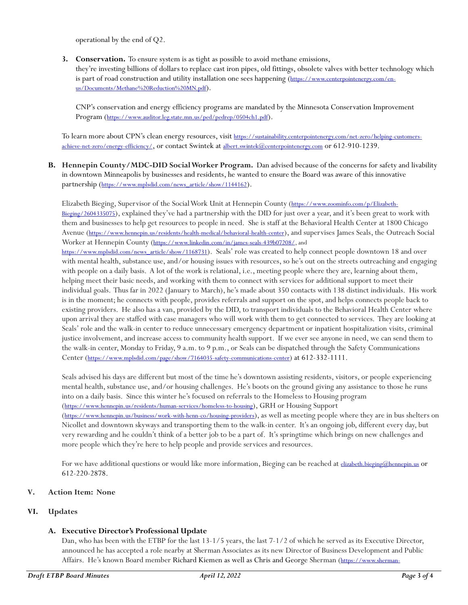operational by the end of Q2.

**3. Conservation.** To ensure system is as tight as possible to avoid methane emissions, they're investing billions of dollars to replace cast iron pipes, old fittings, obsolete valves with better technology which is part of road construction and utility installation one sees happening ([https://www.centerpointenergy.com/en](https://www.centerpointenergy.com/en-us/Documents/Methane%20Reduction%20MN.pdf)[us/Documents/Methane%20Reduction%20MN.pdf](https://www.centerpointenergy.com/en-us/Documents/Methane%20Reduction%20MN.pdf)).

CNP's conservation and energy efficiency programs are mandated by the Minnesota Conservation Improvement Program (<https://www.auditor.leg.state.mn.us/ped/pedrep/0504ch1.pdf>).

To learn more about CPN's clean energy resources, visit [https://sustainability.centerpointenergy.com/net-zero/helping-customers](https://sustainability.centerpointenergy.com/net-zero/helping-customers-achieve-net-zero/energy-efficiency/)[achieve-net-zero/energy-efficiency/](https://sustainability.centerpointenergy.com/net-zero/helping-customers-achieve-net-zero/energy-efficiency/), or contact Swintek at [albert.swintek@centerpointenergy.com](mailto:albert.swintek@centerpointenergy.com) or 612-910-1239.

**B. Hennepin County/MDC-DID Social Worker Program.** Dan advised because of the concerns for safety and livability in downtown Minneapolis by businesses and residents, he wanted to ensure the Board was aware of this innovative partnership ([https://www.mplsdid.com/news\\_article/show/1144162](https://www.mplsdid.com/news_article/show/1144162)).

Elizabeth Bieging, Supervisor of the Social Work Unit at Hennepin County ([https://www.zoominfo.com/p/Elizabeth-](https://www.zoominfo.com/p/Elizabeth-Bieging/2604335075)[Bieging/2604335075](https://www.zoominfo.com/p/Elizabeth-Bieging/2604335075)), explained they've had a partnership with the DID for just over a year, and it's been great to work with them and businesses to help get resources to people in need. She is staff at the Behavioral Health Center at 1800 Chicago Avenue (<https://www.hennepin.us/residents/health-medical/behavioral-health-center>), and supervises James Seals, the Outreach Social Worker at Hennepin County ([https://www.linkedin.com/in/james-seals-439b07208/,](https://www.linkedin.com/in/james-seals-439b07208/) and

[https://www.mplsdid.com/news\\_article/show/1168731](https://www.mplsdid.com/news_article/show/1168731)). Seals' role was created to help connect people downtown 18 and over with mental health, substance use, and/or housing issues with resources, so he's out on the streets outreaching and engaging with people on a daily basis. A lot of the work is relational, i.e., meeting people where they are, learning about them, helping meet their basic needs, and working with them to connect with services for additional support to meet their individual goals. Thus far in 2022 (January to March), he's made about 350 contacts with 138 distinct individuals. His work is in the moment; he connects with people, provides referrals and support on the spot, and helps connects people back to existing providers. He also has a van, provided by the DID, to transport individuals to the Behavioral Health Center where upon arrival they are staffed with case managers who will work with them to get connected to services. They are looking at Seals' role and the walk-in center to reduce unnecessary emergency department or inpatient hospitalization visits, criminal justice involvement, and increase access to community health support. If we ever see anyone in need, we can send them to the walk-in center, Monday to Friday, 9 a.m. to 9 p.m., or Seals can be dispatched through the Safety Communications Center (<https://www.mplsdid.com/page/show/7164035-safety-communications-center>) at 612-332-1111.

Seals advised his days are different but most of the time he's downtown assisting residents, visitors, or people experiencing mental health, substance use, and/or housing challenges. He's boots on the ground giving any assistance to those he runs into on a daily basis. Since this winter he's focused on referrals to the Homeless to Housing program (<https://www.hennepin.us/residents/human-services/homeless-to-housing>), GRH or Housing Support (<https://www.hennepin.us/business/work-with-henn-co/housing-providers>), as well as meeting people where they are in bus shelters on Nicollet and downtown skyways and transporting them to the walk-in center. It's an ongoing job, different every day, but very rewarding and he couldn't think of a better job to be a part of. It's springtime which brings on new challenges and more people which they're here to help people and provide services and resources.

For we have additional questions or would like more information, Bieging can be reached at *[elizabeth.bieging@hennepin.us](mailto:elizabeth.bieging@hennepin.us)* or 612-220-2878.

# **V. Action Item: None**

# **VI. Updates**

# **A. Executive Director's Professional Update**

Dan, who has been with the ETBP for the last 13-1/5 years, the last 7-1/2 of which he served as its Executive Director, announced he has accepted a role nearby at Sherman Associates as its new Director of Business Development and Public Affairs. He's known Board member Richard Kiemen as well as Chris and George Sherman ([https://www.sherman-](https://www.sherman-associates.com/about/)